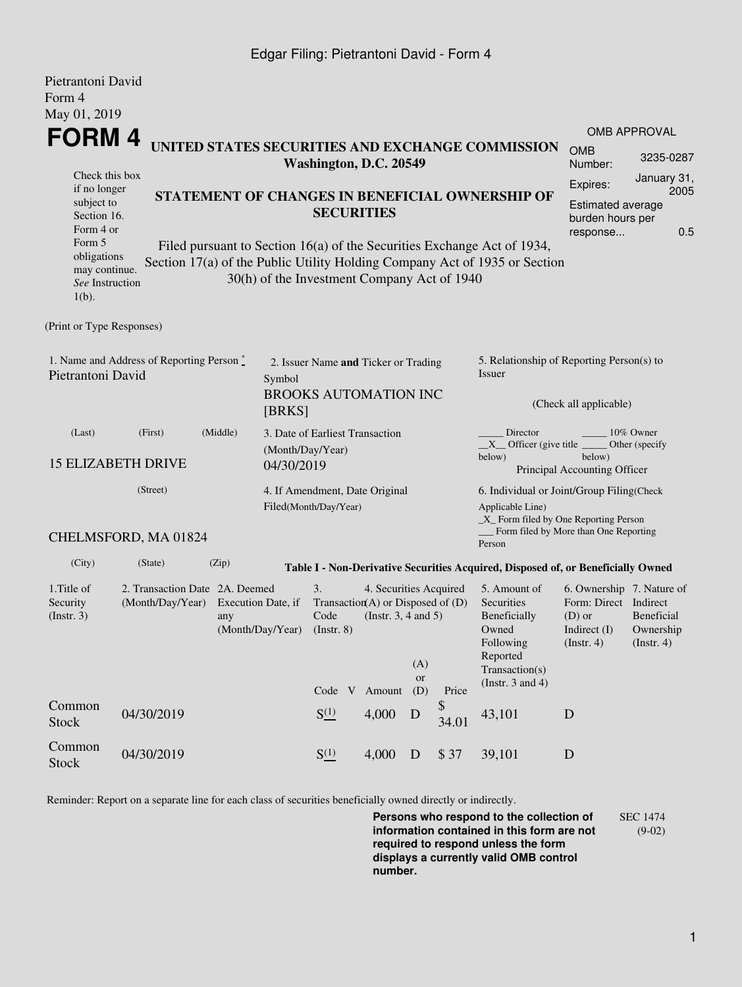## Edgar Filing: Pietrantoni David - Form 4

| Pietrantoni David<br>Form 4                                                                                                                   |                      |                                                                                                                                                                                                                         |                                                                                                                                    |                                                         |        |                  |             |                                                                                                                                                 |                                                                                                 |                                        |  |  |
|-----------------------------------------------------------------------------------------------------------------------------------------------|----------------------|-------------------------------------------------------------------------------------------------------------------------------------------------------------------------------------------------------------------------|------------------------------------------------------------------------------------------------------------------------------------|---------------------------------------------------------|--------|------------------|-------------|-------------------------------------------------------------------------------------------------------------------------------------------------|-------------------------------------------------------------------------------------------------|----------------------------------------|--|--|
| May 01, 2019<br><b>FORM4</b>                                                                                                                  |                      |                                                                                                                                                                                                                         |                                                                                                                                    |                                                         |        |                  |             |                                                                                                                                                 |                                                                                                 | <b>OMB APPROVAL</b>                    |  |  |
|                                                                                                                                               |                      |                                                                                                                                                                                                                         |                                                                                                                                    | Washington, D.C. 20549                                  |        |                  |             | UNITED STATES SECURITIES AND EXCHANGE COMMISSION                                                                                                | <b>OMB</b><br>3235-0287<br>Number:                                                              |                                        |  |  |
| Check this box<br>if no longer<br>subject to<br>Section 16.<br>Form 4 or                                                                      |                      | STATEMENT OF CHANGES IN BENEFICIAL OWNERSHIP OF<br><b>SECURITIES</b>                                                                                                                                                    |                                                                                                                                    |                                                         |        |                  |             |                                                                                                                                                 |                                                                                                 |                                        |  |  |
| Form 5<br>obligations<br>may continue.<br>See Instruction<br>$1(b)$ .                                                                         |                      | 0.5<br>response<br>Filed pursuant to Section 16(a) of the Securities Exchange Act of 1934,<br>Section 17(a) of the Public Utility Holding Company Act of 1935 or Section<br>30(h) of the Investment Company Act of 1940 |                                                                                                                                    |                                                         |        |                  |             |                                                                                                                                                 |                                                                                                 |                                        |  |  |
| (Print or Type Responses)                                                                                                                     |                      |                                                                                                                                                                                                                         |                                                                                                                                    |                                                         |        |                  |             |                                                                                                                                                 |                                                                                                 |                                        |  |  |
| 1. Name and Address of Reporting Person*<br>Pietrantoni David                                                                                 |                      |                                                                                                                                                                                                                         | 2. Issuer Name and Ticker or Trading<br>Symbol<br><b>BROOKS AUTOMATION INC</b><br>[BRKS]                                           |                                                         |        |                  |             | 5. Relationship of Reporting Person(s) to<br>Issuer<br>(Check all applicable)                                                                   |                                                                                                 |                                        |  |  |
|                                                                                                                                               |                      |                                                                                                                                                                                                                         |                                                                                                                                    |                                                         |        |                  |             |                                                                                                                                                 |                                                                                                 |                                        |  |  |
| (Middle)<br>(First)<br>(Last)<br><b>15 ELIZABETH DRIVE</b><br>(Street)                                                                        |                      |                                                                                                                                                                                                                         | 3. Date of Earliest Transaction<br>(Month/Day/Year)<br>04/30/2019                                                                  |                                                         |        |                  |             | Director<br>10% Owner<br>$X$ Officer (give title $\overline{\phantom{a}}$<br>Other (specify<br>below)<br>below)<br>Principal Accounting Officer |                                                                                                 |                                        |  |  |
|                                                                                                                                               |                      |                                                                                                                                                                                                                         |                                                                                                                                    | 4. If Amendment, Date Original<br>Filed(Month/Day/Year) |        |                  |             | 6. Individual or Joint/Group Filing(Check<br>Applicable Line)<br>$\_X$ Form filed by One Reporting Person                                       |                                                                                                 |                                        |  |  |
|                                                                                                                                               | CHELMSFORD, MA 01824 |                                                                                                                                                                                                                         |                                                                                                                                    |                                                         |        |                  |             | Form filed by More than One Reporting<br>Person                                                                                                 |                                                                                                 |                                        |  |  |
| (City)                                                                                                                                        | (State)              | (Zip)                                                                                                                                                                                                                   |                                                                                                                                    |                                                         |        |                  |             | Table I - Non-Derivative Securities Acquired, Disposed of, or Beneficially Owned                                                                |                                                                                                 |                                        |  |  |
| 1. Title of<br>2. Transaction Date 2A. Deemed<br>Security<br>(Month/Day/Year)<br>Execution Date, if<br>(Insert. 3)<br>any<br>(Month/Day/Year) |                      |                                                                                                                                                                                                                         | 3.<br>4. Securities Acquired<br>Transaction(A) or Disposed of $(D)$<br>Code<br>(Instr. $3, 4$ and $5$ )<br>$($ Instr. 8 $)$<br>(A) |                                                         |        |                  |             | 5. Amount of<br>Securities<br>Beneficially<br>Owned<br>Following<br>Reported                                                                    | 6. Ownership 7. Nature of<br>Form: Direct Indirect<br>$(D)$ or<br>Indirect $(I)$<br>(Insert. 4) | Beneficial<br>Ownership<br>(Insert. 4) |  |  |
|                                                                                                                                               |                      |                                                                                                                                                                                                                         |                                                                                                                                    | Code V                                                  | Amount | <b>or</b><br>(D) | Price       | Transaction(s)<br>(Instr. $3$ and $4$ )                                                                                                         |                                                                                                 |                                        |  |  |
| Common<br><b>Stock</b>                                                                                                                        | 04/30/2019           |                                                                                                                                                                                                                         |                                                                                                                                    | $S^{(1)}_{-}$                                           | 4,000  | D                | \$<br>34.01 | 43,101                                                                                                                                          | D                                                                                               |                                        |  |  |
| Common<br><b>Stock</b>                                                                                                                        | 04/30/2019           |                                                                                                                                                                                                                         |                                                                                                                                    | $S^{(1)}_{-}$                                           | 4,000  | D                | \$37        | 39,101                                                                                                                                          | D                                                                                               |                                        |  |  |

Reminder: Report on a separate line for each class of securities beneficially owned directly or indirectly.

**Persons who respond to the collection of information contained in this form are not required to respond unless the form displays a currently valid OMB control number.** SEC 1474 (9-02)